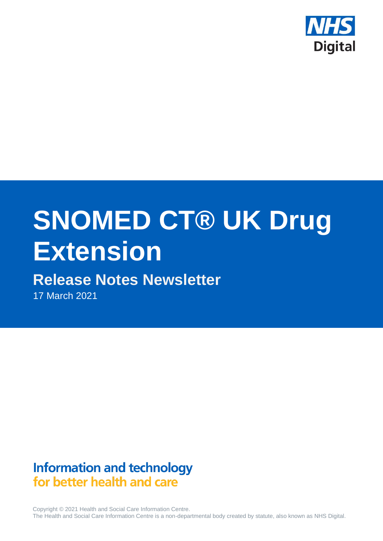

# **SNOMED CT® UK Drug Extension**

# **Release Notes Newsletter**

17 March 2021

# **Information and technology** for better health and care

Copyright © 2021 Health and Social Care Information Centre. The Health and Social Care Information Centre is a non-departmental body created by statute, also known as NHS Digital.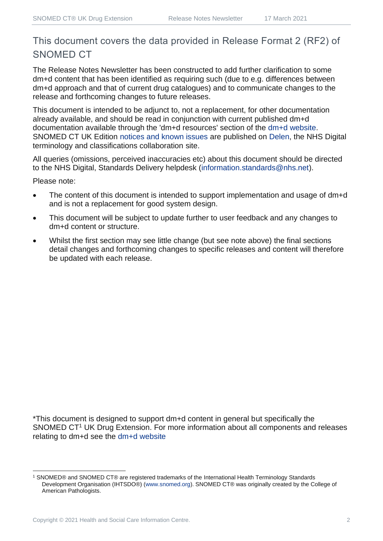## This document covers the data provided in Release Format 2 (RF2) of SNOMED CT

The Release Notes Newsletter has been constructed to add further clarification to some dm+d content that has been identified as requiring such (due to e.g. differences between dm+d approach and that of current drug catalogues) and to communicate changes to the release and forthcoming changes to future releases.

This document is intended to be adjunct to, not a replacement, for other documentation already available, and should be read in conjunction with current published dm+d documentation available through the 'dm+d resources' section of the [dm+d website.](https://www.nhsbsa.nhs.uk/pharmacies-gp-practices-and-appliance-contractors/dictionary-medicines-and-devices-dmd) SNOMED CT UK Edition [notices and known issues](https://hscic.kahootz.com/connect.ti/t_c_home/view?objectId=14224752) are published on [Delen,](https://hscic.kahootz.com/connect.ti/t_c_home) the NHS Digital terminology and classifications collaboration site.

All queries (omissions, perceived inaccuracies etc) about this document should be directed to the NHS Digital, Standards Delivery helpdesk [\(information.standards@nhs.net\)](mailto:information.standards@nhs.net).

Please note:

- The content of this document is intended to support implementation and usage of dm+d and is not a replacement for good system design.
- This document will be subject to update further to user feedback and any changes to dm+d content or structure.
- Whilst the first section may see little change (but see note above) the final sections detail changes and forthcoming changes to specific releases and content will therefore be updated with each release.

\*This document is designed to support dm+d content in general but specifically the SNOMED CT<sup>1</sup> UK Drug Extension. For more information about all components and releases relating to dm+d see the [dm+d website](https://www.nhsbsa.nhs.uk/pharmacies-gp-practices-and-appliance-contractors/dictionary-medicines-and-devices-dmd)

<sup>1</sup> SNOMED® and SNOMED CT® are registered trademarks of the International Health Terminology Standards Development Organisation (IHTSDO®) [\(www.snomed.org\)](http://www.snomed.org/). SNOMED CT® was originally created by the College of American Pathologists.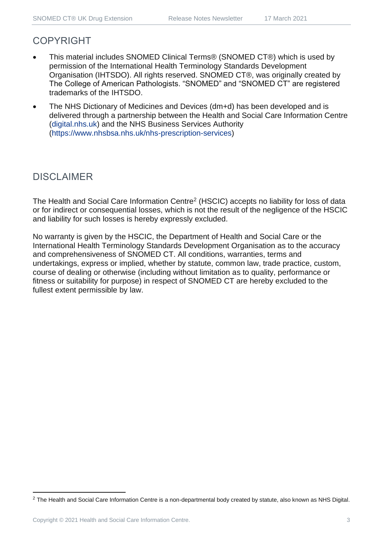## COPYRIGHT

- This material includes SNOMED Clinical Terms® (SNOMED CT®) which is used by permission of the International Health Terminology Standards Development Organisation (IHTSDO). All rights reserved. SNOMED CT®, was originally created by The College of American Pathologists. "SNOMED" and "SNOMED CT" are registered trademarks of the IHTSDO.
- The NHS Dictionary of Medicines and Devices (dm+d) has been developed and is delivered through a partnership between the Health and Social Care Information Centre [\(digital.nhs.uk\)](https://digital.nhs.uk/) and the NHS Business Services Authority [\(https://www.nhsbsa.nhs.uk/nhs-prescription-services\)](https://www.nhsbsa.nhs.uk/nhs-prescription-services)

## DISCLAIMER

The Health and Social Care Information Centre<sup>2</sup> (HSCIC) accepts no liability for loss of data or for indirect or consequential losses, which is not the result of the negligence of the HSCIC and liability for such losses is hereby expressly excluded.

No warranty is given by the HSCIC, the Department of Health and Social Care or the International Health Terminology Standards Development Organisation as to the accuracy and comprehensiveness of SNOMED CT. All conditions, warranties, terms and undertakings, express or implied, whether by statute, common law, trade practice, custom, course of dealing or otherwise (including without limitation as to quality, performance or fitness or suitability for purpose) in respect of SNOMED CT are hereby excluded to the fullest extent permissible by law.

<sup>&</sup>lt;sup>2</sup> The Health and Social Care Information Centre is a non-departmental body created by statute, also known as NHS Digital.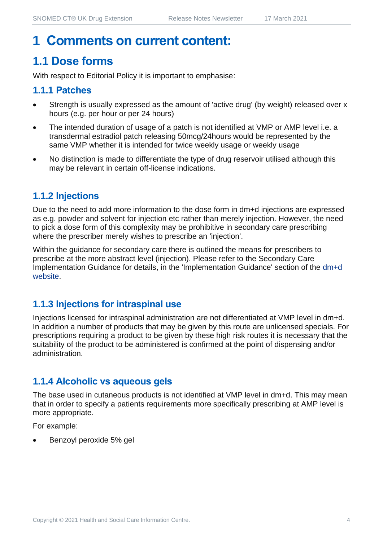## **1 Comments on current content:**

## **1.1 Dose forms**

With respect to Editorial Policy it is important to emphasise:

#### **1.1.1 Patches**

- Strength is usually expressed as the amount of 'active drug' (by weight) released over x hours (e.g. per hour or per 24 hours)
- The intended duration of usage of a patch is not identified at VMP or AMP level i.e. a transdermal estradiol patch releasing 50mcg/24hours would be represented by the same VMP whether it is intended for twice weekly usage or weekly usage
- No distinction is made to differentiate the type of drug reservoir utilised although this may be relevant in certain off-license indications.

#### **1.1.2 Injections**

Due to the need to add more information to the dose form in dm+d injections are expressed as e.g. powder and solvent for injection etc rather than merely injection. However, the need to pick a dose form of this complexity may be prohibitive in secondary care prescribing where the prescriber merely wishes to prescribe an 'injection'.

Within the guidance for secondary care there is outlined the means for prescribers to prescribe at the more abstract level (injection). Please refer to the Secondary Care Implementation Guidance for details, in the 'Implementation Guidance' section of the [dm+d](https://www.nhsbsa.nhs.uk/pharmacies-gp-practices-and-appliance-contractors/dictionary-medicines-and-devices-dmd)  [website.](https://www.nhsbsa.nhs.uk/pharmacies-gp-practices-and-appliance-contractors/dictionary-medicines-and-devices-dmd)

#### **1.1.3 Injections for intraspinal use**

Injections licensed for intraspinal administration are not differentiated at VMP level in dm+d. In addition a number of products that may be given by this route are unlicensed specials. For prescriptions requiring a product to be given by these high risk routes it is necessary that the suitability of the product to be administered is confirmed at the point of dispensing and/or administration.

#### **1.1.4 Alcoholic vs aqueous gels**

The base used in cutaneous products is not identified at VMP level in dm+d. This may mean that in order to specify a patients requirements more specifically prescribing at AMP level is more appropriate.

For example:

• Benzoyl peroxide 5% gel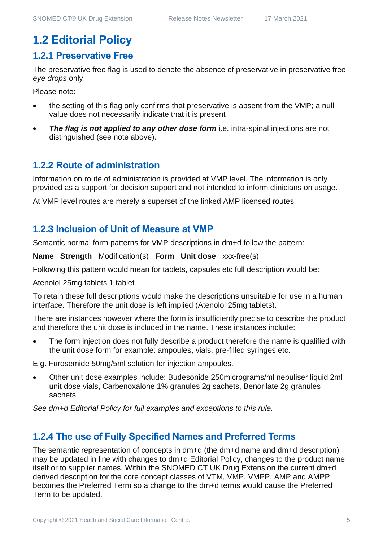## **1.2 Editorial Policy**

#### **1.2.1 Preservative Free**

The preservative free flag is used to denote the absence of preservative in preservative free *eye drops* only.

Please note:

- the setting of this flag only confirms that preservative is absent from the VMP; a null value does not necessarily indicate that it is present
- **The flag is not applied to any other dose form** i.e. intra-spinal injections are not distinguished (see note above).

#### **1.2.2 Route of administration**

Information on route of administration is provided at VMP level. The information is only provided as a support for decision support and not intended to inform clinicians on usage.

At VMP level routes are merely a superset of the linked AMP licensed routes.

#### **1.2.3 Inclusion of Unit of Measure at VMP**

Semantic normal form patterns for VMP descriptions in dm+d follow the pattern:

**Name Strength** Modification(s) **Form Unit dose** xxx-free(s)

Following this pattern would mean for tablets, capsules etc full description would be:

Atenolol 25mg tablets 1 tablet

To retain these full descriptions would make the descriptions unsuitable for use in a human interface. Therefore the unit dose is left implied (Atenolol 25mg tablets).

There are instances however where the form is insufficiently precise to describe the product and therefore the unit dose is included in the name. These instances include:

The form injection does not fully describe a product therefore the name is qualified with the unit dose form for example: ampoules, vials, pre-filled syringes etc.

E.g. Furosemide 50mg/5ml solution for injection ampoules.

• Other unit dose examples include: Budesonide 250micrograms/ml nebuliser liquid 2ml unit dose vials, Carbenoxalone 1% granules 2g sachets, Benorilate 2g granules sachets.

*See dm+d Editorial Policy for full examples and exceptions to this rule.*

#### **1.2.4 The use of Fully Specified Names and Preferred Terms**

The semantic representation of concepts in dm+d (the dm+d name and dm+d description) may be updated in line with changes to dm+d Editorial Policy, changes to the product name itself or to supplier names. Within the SNOMED CT UK Drug Extension the current dm+d derived description for the core concept classes of VTM, VMP, VMPP, AMP and AMPP becomes the Preferred Term so a change to the dm+d terms would cause the Preferred Term to be updated.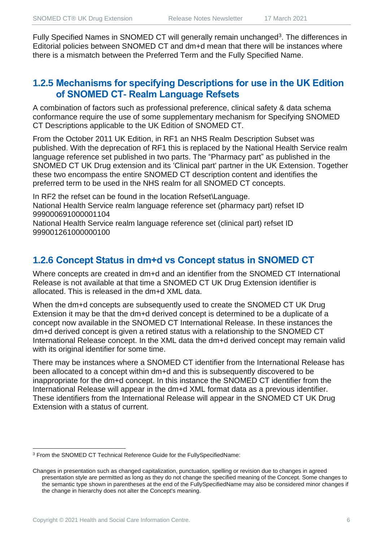Fully Specified Names in SNOMED CT will generally remain unchanged<sup>3</sup>. The differences in Editorial policies between SNOMED CT and dm+d mean that there will be instances where there is a mismatch between the Preferred Term and the Fully Specified Name.

#### **1.2.5 Mechanisms for specifying Descriptions for use in the UK Edition of SNOMED CT- Realm Language Refsets**

A combination of factors such as professional preference, clinical safety & data schema conformance require the use of some supplementary mechanism for Specifying SNOMED CT Descriptions applicable to the UK Edition of SNOMED CT.

From the October 2011 UK Edition, in RF1 an NHS Realm Description Subset was published. With the deprecation of RF1 this is replaced by the National Health Service realm language reference set published in two parts. The "Pharmacy part" as published in the SNOMED CT UK Drug extension and its 'Clinical part' partner in the UK Extension. Together these two encompass the entire SNOMED CT description content and identifies the preferred term to be used in the NHS realm for all SNOMED CT concepts.

In RF2 the refset can be found in the location Refset\Language. National Health Service realm language reference set (pharmacy part) refset ID 999000691000001104

National Health Service realm language reference set (clinical part) refset ID 999001261000000100

#### **1.2.6 Concept Status in dm+d vs Concept status in SNOMED CT**

Where concepts are created in dm+d and an identifier from the SNOMED CT International Release is not available at that time a SNOMED CT UK Drug Extension identifier is allocated. This is released in the dm+d XML data.

When the dm+d concepts are subsequently used to create the SNOMED CT UK Drug Extension it may be that the dm+d derived concept is determined to be a duplicate of a concept now available in the SNOMED CT International Release. In these instances the dm+d derived concept is given a retired status with a relationship to the SNOMED CT International Release concept. In the XML data the dm+d derived concept may remain valid with its original identifier for some time.

There may be instances where a SNOMED CT identifier from the International Release has been allocated to a concept within dm+d and this is subsequently discovered to be inappropriate for the dm+d concept. In this instance the SNOMED CT identifier from the International Release will appear in the dm+d XML format data as a previous identifier. These identifiers from the International Release will appear in the SNOMED CT UK Drug Extension with a status of current.

<sup>3</sup> From the SNOMED CT Technical Reference Guide for the FullySpecifiedName:

Changes in presentation such as changed capitalization, punctuation, spelling or revision due to changes in agreed presentation style are permitted as long as they do not change the specified meaning of the Concept. Some changes to the semantic type shown in parentheses at the end of the FullySpecifiedName may also be considered minor changes if the change in hierarchy does not alter the Concept's meaning.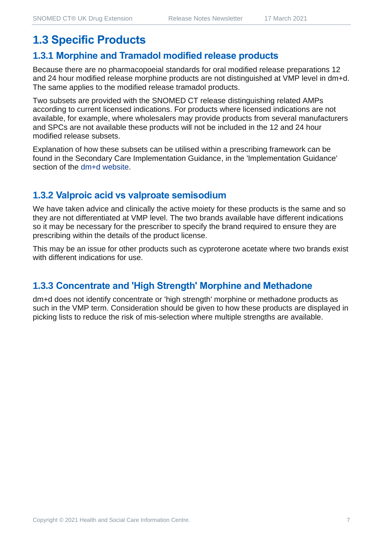## **1.3 Specific Products**

#### **1.3.1 Morphine and Tramadol modified release products**

Because there are no pharmacopoeial standards for oral modified release preparations 12 and 24 hour modified release morphine products are not distinguished at VMP level in dm+d. The same applies to the modified release tramadol products.

Two subsets are provided with the SNOMED CT release distinguishing related AMPs according to current licensed indications. For products where licensed indications are not available, for example, where wholesalers may provide products from several manufacturers and SPCs are not available these products will not be included in the 12 and 24 hour modified release subsets.

Explanation of how these subsets can be utilised within a prescribing framework can be found in the Secondary Care Implementation Guidance, in the 'Implementation Guidance' section of the [dm+d website.](https://www.nhsbsa.nhs.uk/pharmacies-gp-practices-and-appliance-contractors/dictionary-medicines-and-devices-dmd)

#### **1.3.2 Valproic acid vs valproate semisodium**

We have taken advice and clinically the active moiety for these products is the same and so they are not differentiated at VMP level. The two brands available have different indications so it may be necessary for the prescriber to specify the brand required to ensure they are prescribing within the details of the product license.

This may be an issue for other products such as cyproterone acetate where two brands exist with different indications for use.

#### **1.3.3 Concentrate and 'High Strength' Morphine and Methadone**

dm+d does not identify concentrate or 'high strength' morphine or methadone products as such in the VMP term. Consideration should be given to how these products are displayed in picking lists to reduce the risk of mis-selection where multiple strengths are available.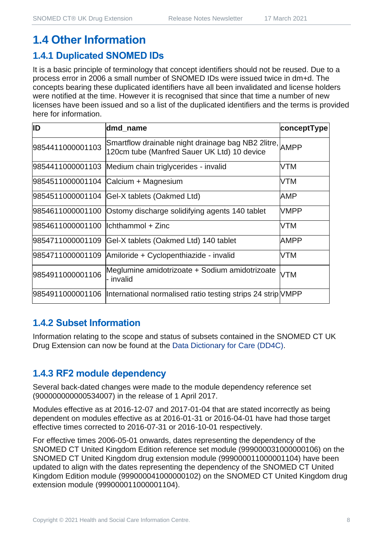## **1.4 Other Information**

#### **1.4.1 Duplicated SNOMED IDs**

It is a basic principle of terminology that concept identifiers should not be reused. Due to a process error in 2006 a small number of SNOMED IDs were issued twice in dm+d. The concepts bearing these duplicated identifiers have all been invalidated and license holders were notified at the time. However it is recognised that since that time a number of new licenses have been issued and so a list of the duplicated identifiers and the terms is provided here for information.

| ID                                   | dmd_name                                                                                               | conceptType |
|--------------------------------------|--------------------------------------------------------------------------------------------------------|-------------|
| 9854411000001103                     | Smartflow drainable night drainage bag NB2 2litre, AMPP<br>120cm tube (Manfred Sauer UK Ltd) 10 device |             |
|                                      | 9854411000001103 Medium chain triglycerides - invalid                                                  | VTM         |
|                                      | 9854511000001104 Calcium + Magnesium                                                                   | VTM         |
|                                      | 9854511000001104 Gel-X tablets (Oakmed Ltd)                                                            | AMP         |
|                                      | 9854611000001100 Ostomy discharge solidifying agents 140 tablet                                        | <b>VMPP</b> |
| 9854611000001100   Ichthammol + Zinc |                                                                                                        | VTM         |
|                                      | 9854711000001109 Gel-X tablets (Oakmed Ltd) 140 tablet                                                 | AMPP        |
|                                      | 9854711000001109 Amiloride + Cyclopenthiazide - invalid                                                | VTM         |
| 9854911000001106                     | Meglumine amidotrizoate + Sodium amidotrizoate<br>- invalid                                            | <b>VTM</b>  |
|                                      | 9854911000001106  International normalised ratio testing strips 24 strip NMPP                          |             |

#### **1.4.2 Subset Information**

Information relating to the scope and status of subsets contained in the SNOMED CT UK Drug Extension can now be found at the [Data Dictionary for Care \(DD4C\).](https://dd4c.digital.nhs.uk/dd4c/)

## **1.4.3 RF2 module dependency**

Several back-dated changes were made to the module dependency reference set (900000000000534007) in the release of 1 April 2017.

Modules effective as at 2016-12-07 and 2017-01-04 that are stated incorrectly as being dependent on modules effective as at 2016-01-31 or 2016-04-01 have had those target effective times corrected to 2016-07-31 or 2016-10-01 respectively.

For effective times 2006-05-01 onwards, dates representing the dependency of the SNOMED CT United Kingdom Edition reference set module (999000031000000106) on the SNOMED CT United Kingdom drug extension module (999000011000001104) have been updated to align with the dates representing the dependency of the SNOMED CT United Kingdom Edition module (999000041000000102) on the SNOMED CT United Kingdom drug extension module (999000011000001104).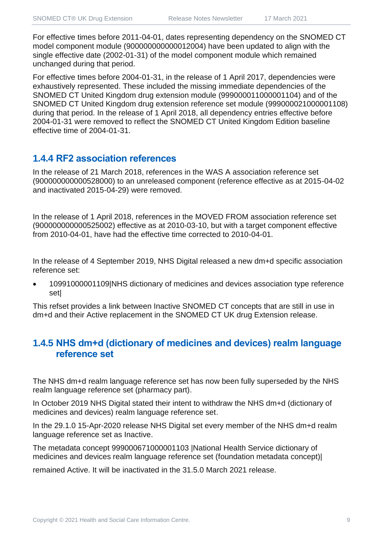For effective times before 2011-04-01, dates representing dependency on the SNOMED CT model component module (900000000000012004) have been updated to align with the single effective date (2002-01-31) of the model component module which remained unchanged during that period.

For effective times before 2004-01-31, in the release of 1 April 2017, dependencies were exhaustively represented. These included the missing immediate dependencies of the SNOMED CT United Kingdom drug extension module (999000011000001104) and of the SNOMED CT United Kingdom drug extension reference set module (999000021000001108) during that period. In the release of 1 April 2018, all dependency entries effective before 2004-01-31 were removed to reflect the SNOMED CT United Kingdom Edition baseline effective time of 2004-01-31.

#### **1.4.4 RF2 association references**

In the release of 21 March 2018, references in the WAS A association reference set (900000000000528000) to an unreleased component (reference effective as at 2015-04-02 and inactivated 2015-04-29) were removed.

In the release of 1 April 2018, references in the MOVED FROM association reference set (900000000000525002) effective as at 2010-03-10, but with a target component effective from 2010-04-01, have had the effective time corrected to 2010-04-01.

In the release of 4 September 2019, NHS Digital released a new dm+d specific association reference set:

• 10991000001109|NHS dictionary of medicines and devices association type reference set|

This refset provides a link between Inactive SNOMED CT concepts that are still in use in dm+d and their Active replacement in the SNOMED CT UK drug Extension release.

#### **1.4.5 NHS dm+d (dictionary of medicines and devices) realm language reference set**

The NHS dm+d realm language reference set has now been fully superseded by the NHS realm language reference set (pharmacy part).

In October 2019 NHS Digital stated their intent to withdraw the NHS dm+d (dictionary of medicines and devices) realm language reference set.

In the 29.1.0 15-Apr-2020 release NHS Digital set every member of the NHS dm+d realm language reference set as Inactive.

The metadata concept 999000671000001103 |National Health Service dictionary of medicines and devices realm language reference set (foundation metadata concept)|

remained Active. It will be inactivated in the 31.5.0 March 2021 release.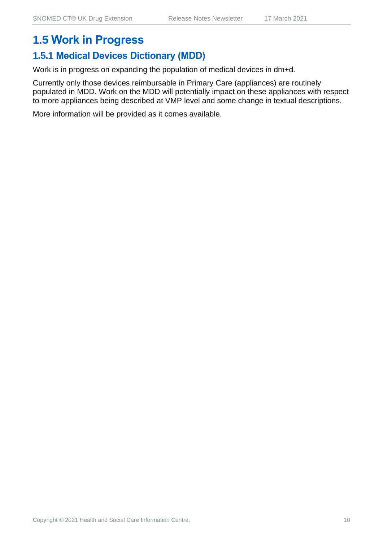## **1.5 Work in Progress**

### **1.5.1 Medical Devices Dictionary (MDD)**

Work is in progress on expanding the population of medical devices in dm+d.

Currently only those devices reimbursable in Primary Care (appliances) are routinely populated in MDD. Work on the MDD will potentially impact on these appliances with respect to more appliances being described at VMP level and some change in textual descriptions.

More information will be provided as it comes available.